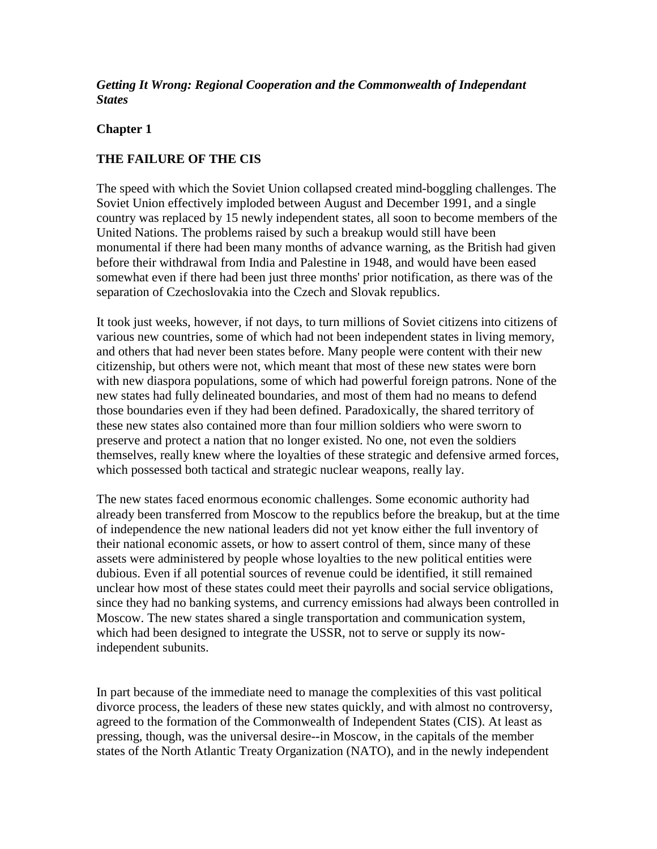## *Getting It Wrong: Regional Cooperation and the Commonwealth of Independant States*

## **Chapter 1**

# **THE FAILURE OF THE CIS**

The speed with which the Soviet Union collapsed created mind-boggling challenges. The Soviet Union effectively imploded between August and December 1991, and a single country was replaced by 15 newly independent states, all soon to become members of the United Nations. The problems raised by such a breakup would still have been monumental if there had been many months of advance warning, as the British had given before their withdrawal from India and Palestine in 1948, and would have been eased somewhat even if there had been just three months' prior notification, as there was of the separation of Czechoslovakia into the Czech and Slovak republics.

It took just weeks, however, if not days, to turn millions of Soviet citizens into citizens of various new countries, some of which had not been independent states in living memory, and others that had never been states before. Many people were content with their new citizenship, but others were not, which meant that most of these new states were born with new diaspora populations, some of which had powerful foreign patrons. None of the new states had fully delineated boundaries, and most of them had no means to defend those boundaries even if they had been defined. Paradoxically, the shared territory of these new states also contained more than four million soldiers who were sworn to preserve and protect a nation that no longer existed. No one, not even the soldiers themselves, really knew where the loyalties of these strategic and defensive armed forces, which possessed both tactical and strategic nuclear weapons, really lay.

The new states faced enormous economic challenges. Some economic authority had already been transferred from Moscow to the republics before the breakup, but at the time of independence the new national leaders did not yet know either the full inventory of their national economic assets, or how to assert control of them, since many of these assets were administered by people whose loyalties to the new political entities were dubious. Even if all potential sources of revenue could be identified, it still remained unclear how most of these states could meet their payrolls and social service obligations, since they had no banking systems, and currency emissions had always been controlled in Moscow. The new states shared a single transportation and communication system, which had been designed to integrate the USSR, not to serve or supply its nowindependent subunits.

In part because of the immediate need to manage the complexities of this vast political divorce process, the leaders of these new states quickly, and with almost no controversy, agreed to the formation of the Commonwealth of Independent States (CIS). At least as pressing, though, was the universal desire--in Moscow, in the capitals of the member states of the North Atlantic Treaty Organization (NATO), and in the newly independent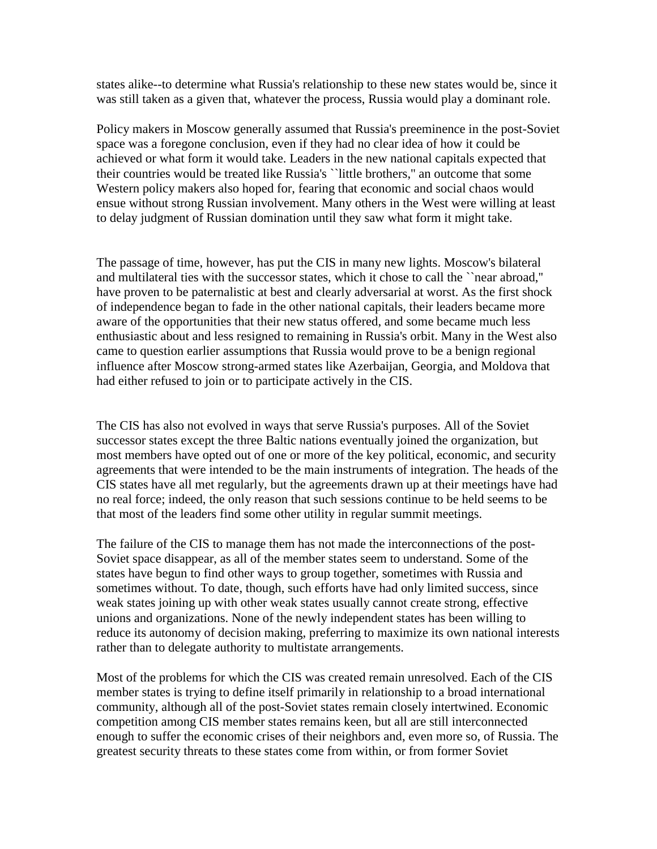states alike--to determine what Russia's relationship to these new states would be, since it was still taken as a given that, whatever the process, Russia would play a dominant role.

Policy makers in Moscow generally assumed that Russia's preeminence in the post-Soviet space was a foregone conclusion, even if they had no clear idea of how it could be achieved or what form it would take. Leaders in the new national capitals expected that their countries would be treated like Russia's ``little brothers,'' an outcome that some Western policy makers also hoped for, fearing that economic and social chaos would ensue without strong Russian involvement. Many others in the West were willing at least to delay judgment of Russian domination until they saw what form it might take.

The passage of time, however, has put the CIS in many new lights. Moscow's bilateral and multilateral ties with the successor states, which it chose to call the ``near abroad,'' have proven to be paternalistic at best and clearly adversarial at worst. As the first shock of independence began to fade in the other national capitals, their leaders became more aware of the opportunities that their new status offered, and some became much less enthusiastic about and less resigned to remaining in Russia's orbit. Many in the West also came to question earlier assumptions that Russia would prove to be a benign regional influence after Moscow strong-armed states like Azerbaijan, Georgia, and Moldova that had either refused to join or to participate actively in the CIS.

The CIS has also not evolved in ways that serve Russia's purposes. All of the Soviet successor states except the three Baltic nations eventually joined the organization, but most members have opted out of one or more of the key political, economic, and security agreements that were intended to be the main instruments of integration. The heads of the CIS states have all met regularly, but the agreements drawn up at their meetings have had no real force; indeed, the only reason that such sessions continue to be held seems to be that most of the leaders find some other utility in regular summit meetings.

The failure of the CIS to manage them has not made the interconnections of the post-Soviet space disappear, as all of the member states seem to understand. Some of the states have begun to find other ways to group together, sometimes with Russia and sometimes without. To date, though, such efforts have had only limited success, since weak states joining up with other weak states usually cannot create strong, effective unions and organizations. None of the newly independent states has been willing to reduce its autonomy of decision making, preferring to maximize its own national interests rather than to delegate authority to multistate arrangements.

Most of the problems for which the CIS was created remain unresolved. Each of the CIS member states is trying to define itself primarily in relationship to a broad international community, although all of the post-Soviet states remain closely intertwined. Economic competition among CIS member states remains keen, but all are still interconnected enough to suffer the economic crises of their neighbors and, even more so, of Russia. The greatest security threats to these states come from within, or from former Soviet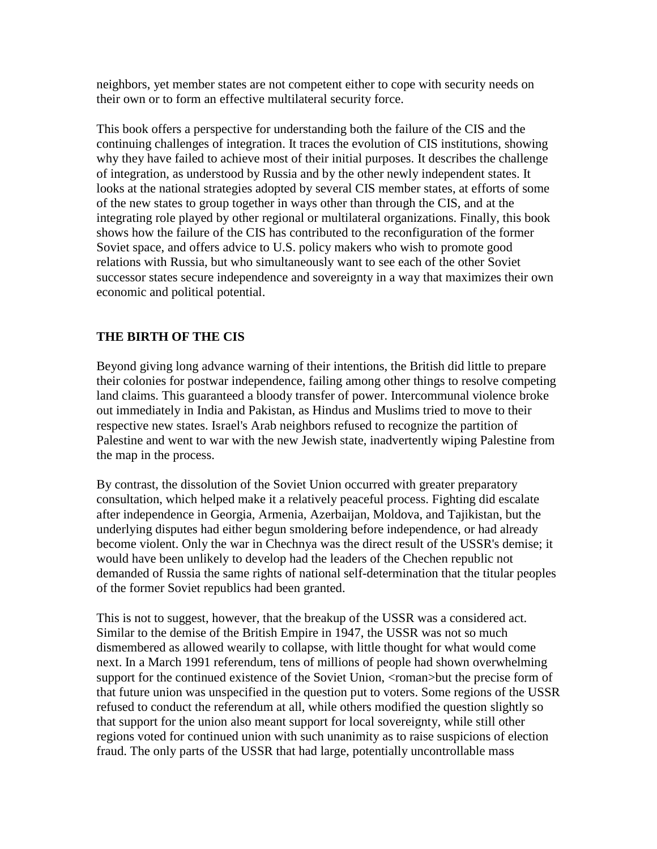neighbors, yet member states are not competent either to cope with security needs on their own or to form an effective multilateral security force.

This book offers a perspective for understanding both the failure of the CIS and the continuing challenges of integration. It traces the evolution of CIS institutions, showing why they have failed to achieve most of their initial purposes. It describes the challenge of integration, as understood by Russia and by the other newly independent states. It looks at the national strategies adopted by several CIS member states, at efforts of some of the new states to group together in ways other than through the CIS, and at the integrating role played by other regional or multilateral organizations. Finally, this book shows how the failure of the CIS has contributed to the reconfiguration of the former Soviet space, and offers advice to U.S. policy makers who wish to promote good relations with Russia, but who simultaneously want to see each of the other Soviet successor states secure independence and sovereignty in a way that maximizes their own economic and political potential.

## **THE BIRTH OF THE CIS**

Beyond giving long advance warning of their intentions, the British did little to prepare their colonies for postwar independence, failing among other things to resolve competing land claims. This guaranteed a bloody transfer of power. Intercommunal violence broke out immediately in India and Pakistan, as Hindus and Muslims tried to move to their respective new states. Israel's Arab neighbors refused to recognize the partition of Palestine and went to war with the new Jewish state, inadvertently wiping Palestine from the map in the process.

By contrast, the dissolution of the Soviet Union occurred with greater preparatory consultation, which helped make it a relatively peaceful process. Fighting did escalate after independence in Georgia, Armenia, Azerbaijan, Moldova, and Tajikistan, but the underlying disputes had either begun smoldering before independence, or had already become violent. Only the war in Chechnya was the direct result of the USSR's demise; it would have been unlikely to develop had the leaders of the Chechen republic not demanded of Russia the same rights of national self-determination that the titular peoples of the former Soviet republics had been granted.

This is not to suggest, however, that the breakup of the USSR was a considered act. Similar to the demise of the British Empire in 1947, the USSR was not so much dismembered as allowed wearily to collapse, with little thought for what would come next. In a March 1991 referendum, tens of millions of people had shown overwhelming support for the continued existence of the Soviet Union, <roman>but the precise form of that future union was unspecified in the question put to voters. Some regions of the USSR refused to conduct the referendum at all, while others modified the question slightly so that support for the union also meant support for local sovereignty, while still other regions voted for continued union with such unanimity as to raise suspicions of election fraud. The only parts of the USSR that had large, potentially uncontrollable mass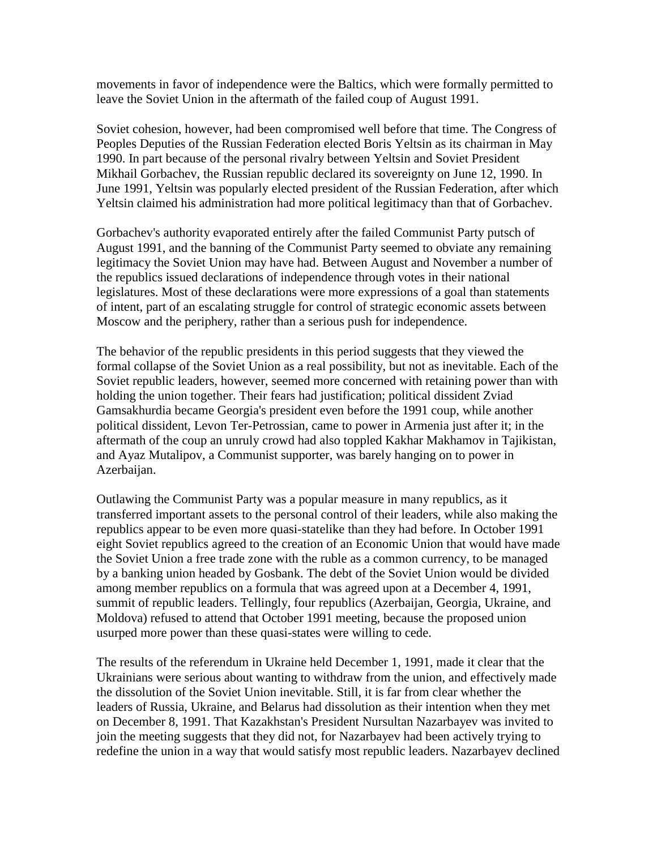movements in favor of independence were the Baltics, which were formally permitted to leave the Soviet Union in the aftermath of the failed coup of August 1991.

Soviet cohesion, however, had been compromised well before that time. The Congress of Peoples Deputies of the Russian Federation elected Boris Yeltsin as its chairman in May 1990. In part because of the personal rivalry between Yeltsin and Soviet President Mikhail Gorbachev, the Russian republic declared its sovereignty on June 12, 1990. In June 1991, Yeltsin was popularly elected president of the Russian Federation, after which Yeltsin claimed his administration had more political legitimacy than that of Gorbachev.

Gorbachev's authority evaporated entirely after the failed Communist Party putsch of August 1991, and the banning of the Communist Party seemed to obviate any remaining legitimacy the Soviet Union may have had. Between August and November a number of the republics issued declarations of independence through votes in their national legislatures. Most of these declarations were more expressions of a goal than statements of intent, part of an escalating struggle for control of strategic economic assets between Moscow and the periphery, rather than a serious push for independence.

The behavior of the republic presidents in this period suggests that they viewed the formal collapse of the Soviet Union as a real possibility, but not as inevitable. Each of the Soviet republic leaders, however, seemed more concerned with retaining power than with holding the union together. Their fears had justification; political dissident Zviad Gamsakhurdia became Georgia's president even before the 1991 coup, while another political dissident, Levon Ter-Petrossian, came to power in Armenia just after it; in the aftermath of the coup an unruly crowd had also toppled Kakhar Makhamov in Tajikistan, and Ayaz Mutalipov, a Communist supporter, was barely hanging on to power in Azerbaijan.

Outlawing the Communist Party was a popular measure in many republics, as it transferred important assets to the personal control of their leaders, while also making the republics appear to be even more quasi-statelike than they had before. In October 1991 eight Soviet republics agreed to the creation of an Economic Union that would have made the Soviet Union a free trade zone with the ruble as a common currency, to be managed by a banking union headed by Gosbank. The debt of the Soviet Union would be divided among member republics on a formula that was agreed upon at a December 4, 1991, summit of republic leaders. Tellingly, four republics (Azerbaijan, Georgia, Ukraine, and Moldova) refused to attend that October 1991 meeting, because the proposed union usurped more power than these quasi-states were willing to cede.

The results of the referendum in Ukraine held December 1, 1991, made it clear that the Ukrainians were serious about wanting to withdraw from the union, and effectively made the dissolution of the Soviet Union inevitable. Still, it is far from clear whether the leaders of Russia, Ukraine, and Belarus had dissolution as their intention when they met on December 8, 1991. That Kazakhstan's President Nursultan Nazarbayev was invited to join the meeting suggests that they did not, for Nazarbayev had been actively trying to redefine the union in a way that would satisfy most republic leaders. Nazarbayev declined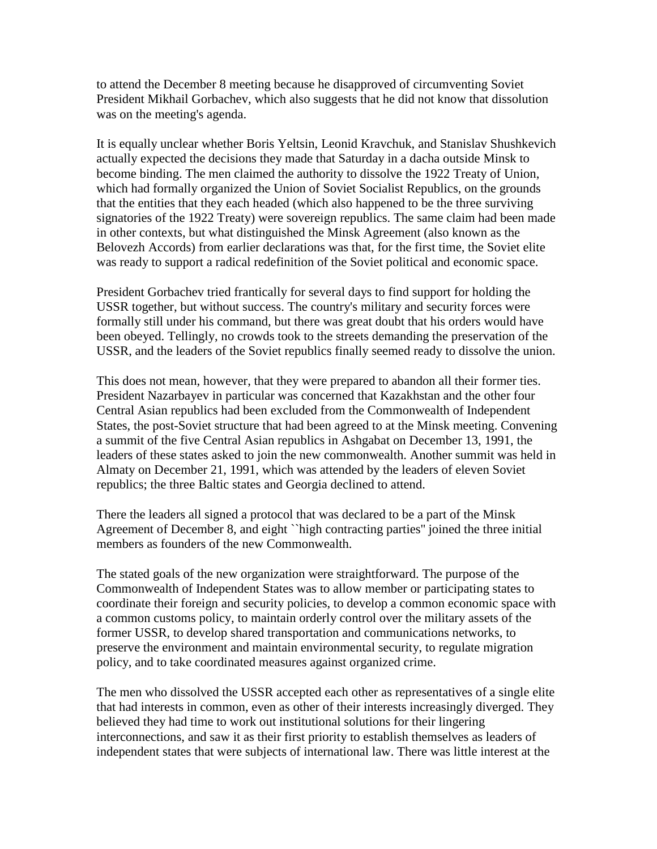to attend the December 8 meeting because he disapproved of circumventing Soviet President Mikhail Gorbachev, which also suggests that he did not know that dissolution was on the meeting's agenda.

It is equally unclear whether Boris Yeltsin, Leonid Kravchuk, and Stanislav Shushkevich actually expected the decisions they made that Saturday in a dacha outside Minsk to become binding. The men claimed the authority to dissolve the 1922 Treaty of Union, which had formally organized the Union of Soviet Socialist Republics, on the grounds that the entities that they each headed (which also happened to be the three surviving signatories of the 1922 Treaty) were sovereign republics. The same claim had been made in other contexts, but what distinguished the Minsk Agreement (also known as the Belovezh Accords) from earlier declarations was that, for the first time, the Soviet elite was ready to support a radical redefinition of the Soviet political and economic space.

President Gorbachev tried frantically for several days to find support for holding the USSR together, but without success. The country's military and security forces were formally still under his command, but there was great doubt that his orders would have been obeyed. Tellingly, no crowds took to the streets demanding the preservation of the USSR, and the leaders of the Soviet republics finally seemed ready to dissolve the union.

This does not mean, however, that they were prepared to abandon all their former ties. President Nazarbayev in particular was concerned that Kazakhstan and the other four Central Asian republics had been excluded from the Commonwealth of Independent States, the post-Soviet structure that had been agreed to at the Minsk meeting. Convening a summit of the five Central Asian republics in Ashgabat on December 13, 1991, the leaders of these states asked to join the new commonwealth. Another summit was held in Almaty on December 21, 1991, which was attended by the leaders of eleven Soviet republics; the three Baltic states and Georgia declined to attend.

There the leaders all signed a protocol that was declared to be a part of the Minsk Agreement of December 8, and eight ``high contracting parties'' joined the three initial members as founders of the new Commonwealth.

The stated goals of the new organization were straightforward. The purpose of the Commonwealth of Independent States was to allow member or participating states to coordinate their foreign and security policies, to develop a common economic space with a common customs policy, to maintain orderly control over the military assets of the former USSR, to develop shared transportation and communications networks, to preserve the environment and maintain environmental security, to regulate migration policy, and to take coordinated measures against organized crime.

The men who dissolved the USSR accepted each other as representatives of a single elite that had interests in common, even as other of their interests increasingly diverged. They believed they had time to work out institutional solutions for their lingering interconnections, and saw it as their first priority to establish themselves as leaders of independent states that were subjects of international law. There was little interest at the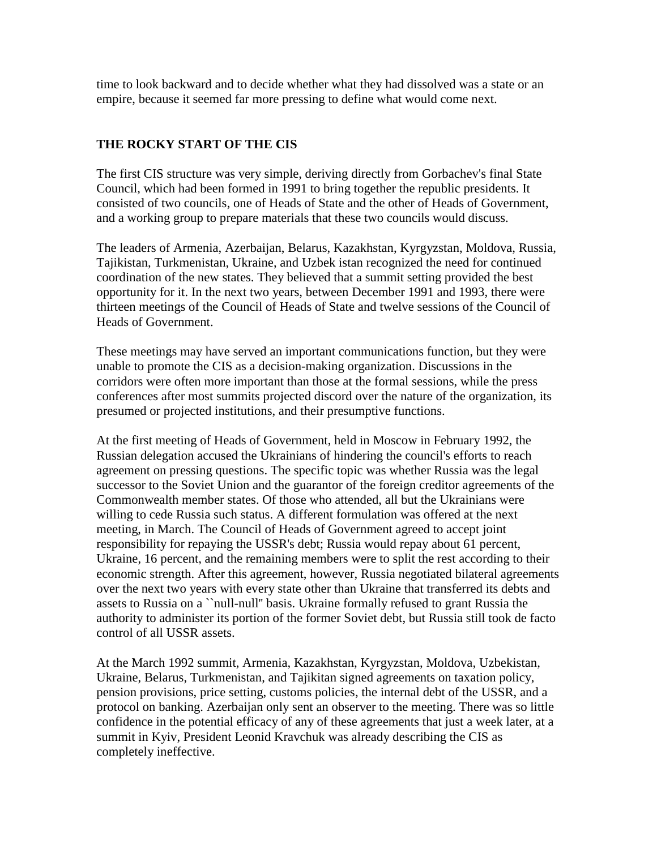time to look backward and to decide whether what they had dissolved was a state or an empire, because it seemed far more pressing to define what would come next.

# **THE ROCKY START OF THE CIS**

The first CIS structure was very simple, deriving directly from Gorbachev's final State Council, which had been formed in 1991 to bring together the republic presidents. It consisted of two councils, one of Heads of State and the other of Heads of Government, and a working group to prepare materials that these two councils would discuss.

The leaders of Armenia, Azerbaijan, Belarus, Kazakhstan, Kyrgyzstan, Moldova, Russia, Tajikistan, Turkmenistan, Ukraine, and Uzbek istan recognized the need for continued coordination of the new states. They believed that a summit setting provided the best opportunity for it. In the next two years, between December 1991 and 1993, there were thirteen meetings of the Council of Heads of State and twelve sessions of the Council of Heads of Government.

These meetings may have served an important communications function, but they were unable to promote the CIS as a decision-making organization. Discussions in the corridors were often more important than those at the formal sessions, while the press conferences after most summits projected discord over the nature of the organization, its presumed or projected institutions, and their presumptive functions.

At the first meeting of Heads of Government, held in Moscow in February 1992, the Russian delegation accused the Ukrainians of hindering the council's efforts to reach agreement on pressing questions. The specific topic was whether Russia was the legal successor to the Soviet Union and the guarantor of the foreign creditor agreements of the Commonwealth member states. Of those who attended, all but the Ukrainians were willing to cede Russia such status. A different formulation was offered at the next meeting, in March. The Council of Heads of Government agreed to accept joint responsibility for repaying the USSR's debt; Russia would repay about 61 percent, Ukraine, 16 percent, and the remaining members were to split the rest according to their economic strength. After this agreement, however, Russia negotiated bilateral agreements over the next two years with every state other than Ukraine that transferred its debts and assets to Russia on a ``null-null'' basis. Ukraine formally refused to grant Russia the authority to administer its portion of the former Soviet debt, but Russia still took de facto control of all USSR assets.

At the March 1992 summit, Armenia, Kazakhstan, Kyrgyzstan, Moldova, Uzbekistan, Ukraine, Belarus, Turkmenistan, and Tajikitan signed agreements on taxation policy, pension provisions, price setting, customs policies, the internal debt of the USSR, and a protocol on banking. Azerbaijan only sent an observer to the meeting. There was so little confidence in the potential efficacy of any of these agreements that just a week later, at a summit in Kyiv, President Leonid Kravchuk was already describing the CIS as completely ineffective.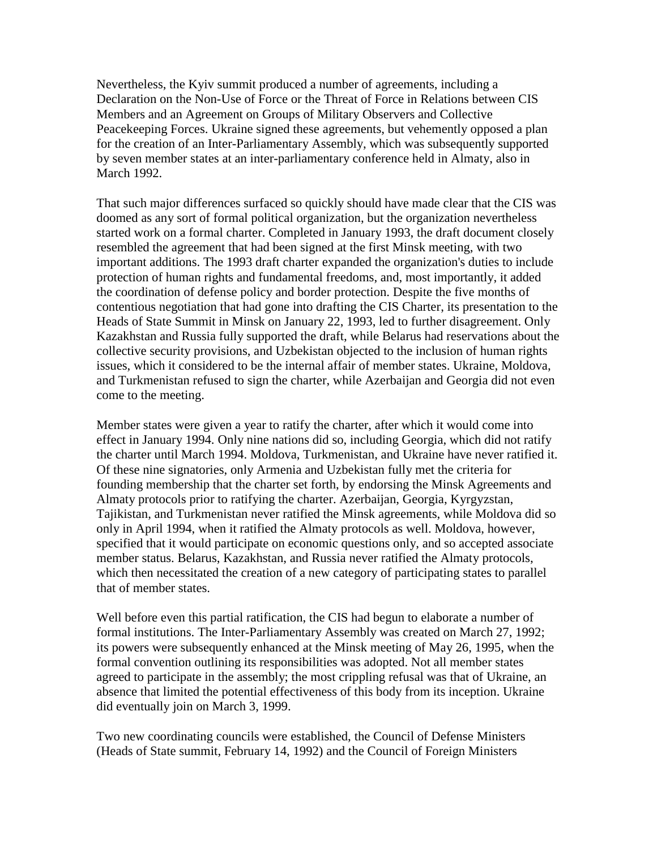Nevertheless, the Kyiv summit produced a number of agreements, including a Declaration on the Non-Use of Force or the Threat of Force in Relations between CIS Members and an Agreement on Groups of Military Observers and Collective Peacekeeping Forces. Ukraine signed these agreements, but vehemently opposed a plan for the creation of an Inter-Parliamentary Assembly, which was subsequently supported by seven member states at an inter-parliamentary conference held in Almaty, also in March 1992.

That such major differences surfaced so quickly should have made clear that the CIS was doomed as any sort of formal political organization, but the organization nevertheless started work on a formal charter. Completed in January 1993, the draft document closely resembled the agreement that had been signed at the first Minsk meeting, with two important additions. The 1993 draft charter expanded the organization's duties to include protection of human rights and fundamental freedoms, and, most importantly, it added the coordination of defense policy and border protection. Despite the five months of contentious negotiation that had gone into drafting the CIS Charter, its presentation to the Heads of State Summit in Minsk on January 22, 1993, led to further disagreement. Only Kazakhstan and Russia fully supported the draft, while Belarus had reservations about the collective security provisions, and Uzbekistan objected to the inclusion of human rights issues, which it considered to be the internal affair of member states. Ukraine, Moldova, and Turkmenistan refused to sign the charter, while Azerbaijan and Georgia did not even come to the meeting.

Member states were given a year to ratify the charter, after which it would come into effect in January 1994. Only nine nations did so, including Georgia, which did not ratify the charter until March 1994. Moldova, Turkmenistan, and Ukraine have never ratified it. Of these nine signatories, only Armenia and Uzbekistan fully met the criteria for founding membership that the charter set forth, by endorsing the Minsk Agreements and Almaty protocols prior to ratifying the charter. Azerbaijan, Georgia, Kyrgyzstan, Tajikistan, and Turkmenistan never ratified the Minsk agreements, while Moldova did so only in April 1994, when it ratified the Almaty protocols as well. Moldova, however, specified that it would participate on economic questions only, and so accepted associate member status. Belarus, Kazakhstan, and Russia never ratified the Almaty protocols, which then necessitated the creation of a new category of participating states to parallel that of member states.

Well before even this partial ratification, the CIS had begun to elaborate a number of formal institutions. The Inter-Parliamentary Assembly was created on March 27, 1992; its powers were subsequently enhanced at the Minsk meeting of May 26, 1995, when the formal convention outlining its responsibilities was adopted. Not all member states agreed to participate in the assembly; the most crippling refusal was that of Ukraine, an absence that limited the potential effectiveness of this body from its inception. Ukraine did eventually join on March 3, 1999.

Two new coordinating councils were established, the Council of Defense Ministers (Heads of State summit, February 14, 1992) and the Council of Foreign Ministers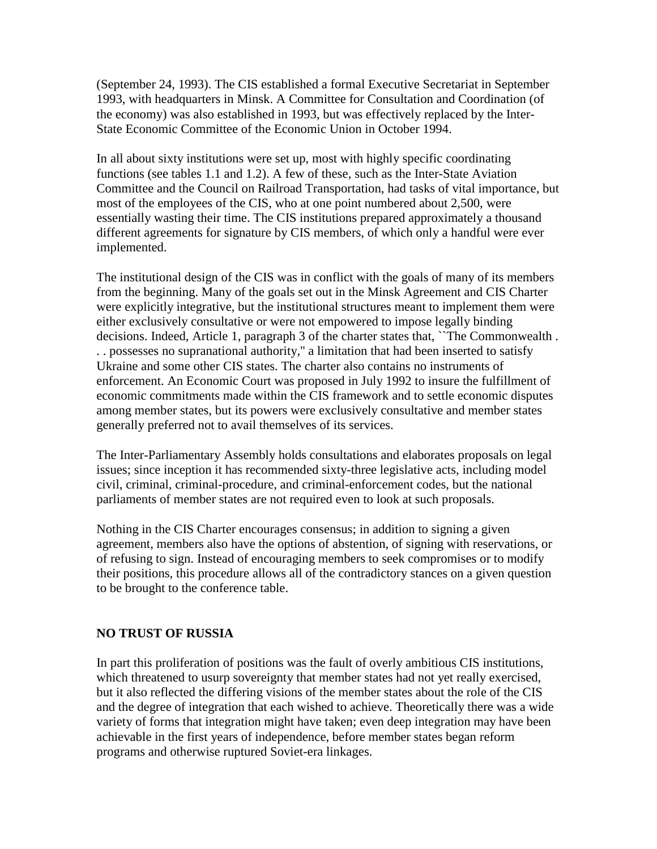(September 24, 1993). The CIS established a formal Executive Secretariat in September 1993, with headquarters in Minsk. A Committee for Consultation and Coordination (of the economy) was also established in 1993, but was effectively replaced by the Inter-State Economic Committee of the Economic Union in October 1994.

In all about sixty institutions were set up, most with highly specific coordinating functions (see tables 1.1 and 1.2). A few of these, such as the Inter-State Aviation Committee and the Council on Railroad Transportation, had tasks of vital importance, but most of the employees of the CIS, who at one point numbered about 2,500, were essentially wasting their time. The CIS institutions prepared approximately a thousand different agreements for signature by CIS members, of which only a handful were ever implemented.

The institutional design of the CIS was in conflict with the goals of many of its members from the beginning. Many of the goals set out in the Minsk Agreement and CIS Charter were explicitly integrative, but the institutional structures meant to implement them were either exclusively consultative or were not empowered to impose legally binding decisions. Indeed, Article 1, paragraph 3 of the charter states that, ``The Commonwealth . . . possesses no supranational authority,'' a limitation that had been inserted to satisfy Ukraine and some other CIS states. The charter also contains no instruments of enforcement. An Economic Court was proposed in July 1992 to insure the fulfillment of economic commitments made within the CIS framework and to settle economic disputes among member states, but its powers were exclusively consultative and member states generally preferred not to avail themselves of its services.

The Inter-Parliamentary Assembly holds consultations and elaborates proposals on legal issues; since inception it has recommended sixty-three legislative acts, including model civil, criminal, criminal-procedure, and criminal-enforcement codes, but the national parliaments of member states are not required even to look at such proposals.

Nothing in the CIS Charter encourages consensus; in addition to signing a given agreement, members also have the options of abstention, of signing with reservations, or of refusing to sign. Instead of encouraging members to seek compromises or to modify their positions, this procedure allows all of the contradictory stances on a given question to be brought to the conference table.

#### **NO TRUST OF RUSSIA**

In part this proliferation of positions was the fault of overly ambitious CIS institutions, which threatened to usurp sovereignty that member states had not yet really exercised, but it also reflected the differing visions of the member states about the role of the CIS and the degree of integration that each wished to achieve. Theoretically there was a wide variety of forms that integration might have taken; even deep integration may have been achievable in the first years of independence, before member states began reform programs and otherwise ruptured Soviet-era linkages.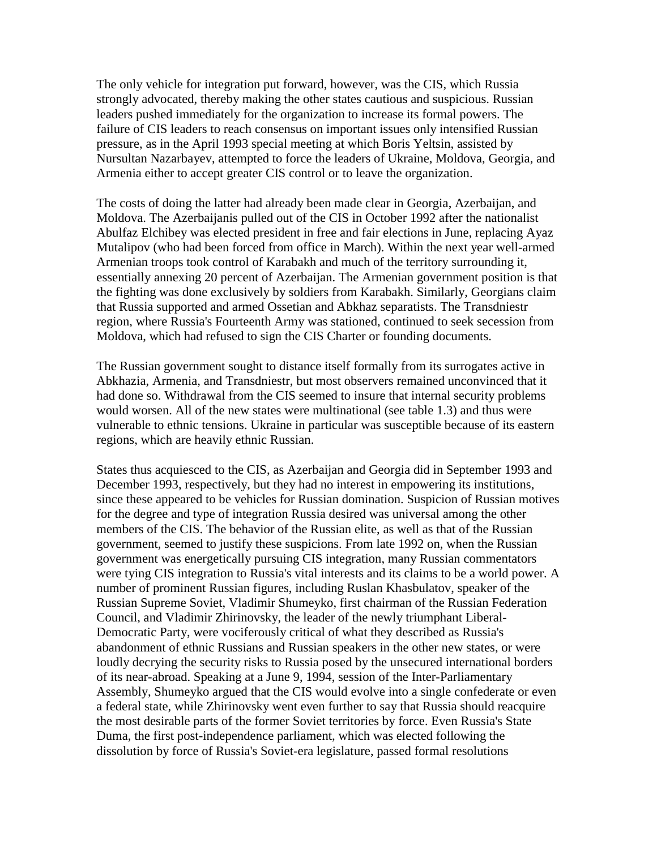The only vehicle for integration put forward, however, was the CIS, which Russia strongly advocated, thereby making the other states cautious and suspicious. Russian leaders pushed immediately for the organization to increase its formal powers. The failure of CIS leaders to reach consensus on important issues only intensified Russian pressure, as in the April 1993 special meeting at which Boris Yeltsin, assisted by Nursultan Nazarbayev, attempted to force the leaders of Ukraine, Moldova, Georgia, and Armenia either to accept greater CIS control or to leave the organization.

The costs of doing the latter had already been made clear in Georgia, Azerbaijan, and Moldova. The Azerbaijanis pulled out of the CIS in October 1992 after the nationalist Abulfaz Elchibey was elected president in free and fair elections in June, replacing Ayaz Mutalipov (who had been forced from office in March). Within the next year well-armed Armenian troops took control of Karabakh and much of the territory surrounding it, essentially annexing 20 percent of Azerbaijan. The Armenian government position is that the fighting was done exclusively by soldiers from Karabakh. Similarly, Georgians claim that Russia supported and armed Ossetian and Abkhaz separatists. The Transdniestr region, where Russia's Fourteenth Army was stationed, continued to seek secession from Moldova, which had refused to sign the CIS Charter or founding documents.

The Russian government sought to distance itself formally from its surrogates active in Abkhazia, Armenia, and Transdniestr, but most observers remained unconvinced that it had done so. Withdrawal from the CIS seemed to insure that internal security problems would worsen. All of the new states were multinational (see table 1.3) and thus were vulnerable to ethnic tensions. Ukraine in particular was susceptible because of its eastern regions, which are heavily ethnic Russian.

States thus acquiesced to the CIS, as Azerbaijan and Georgia did in September 1993 and December 1993, respectively, but they had no interest in empowering its institutions, since these appeared to be vehicles for Russian domination. Suspicion of Russian motives for the degree and type of integration Russia desired was universal among the other members of the CIS. The behavior of the Russian elite, as well as that of the Russian government, seemed to justify these suspicions. From late 1992 on, when the Russian government was energetically pursuing CIS integration, many Russian commentators were tying CIS integration to Russia's vital interests and its claims to be a world power. A number of prominent Russian figures, including Ruslan Khasbulatov, speaker of the Russian Supreme Soviet, Vladimir Shumeyko, first chairman of the Russian Federation Council, and Vladimir Zhirinovsky, the leader of the newly triumphant Liberal-Democratic Party, were vociferously critical of what they described as Russia's abandonment of ethnic Russians and Russian speakers in the other new states, or were loudly decrying the security risks to Russia posed by the unsecured international borders of its near-abroad. Speaking at a June 9, 1994, session of the Inter-Parliamentary Assembly, Shumeyko argued that the CIS would evolve into a single confederate or even a federal state, while Zhirinovsky went even further to say that Russia should reacquire the most desirable parts of the former Soviet territories by force. Even Russia's State Duma, the first post-independence parliament, which was elected following the dissolution by force of Russia's Soviet-era legislature, passed formal resolutions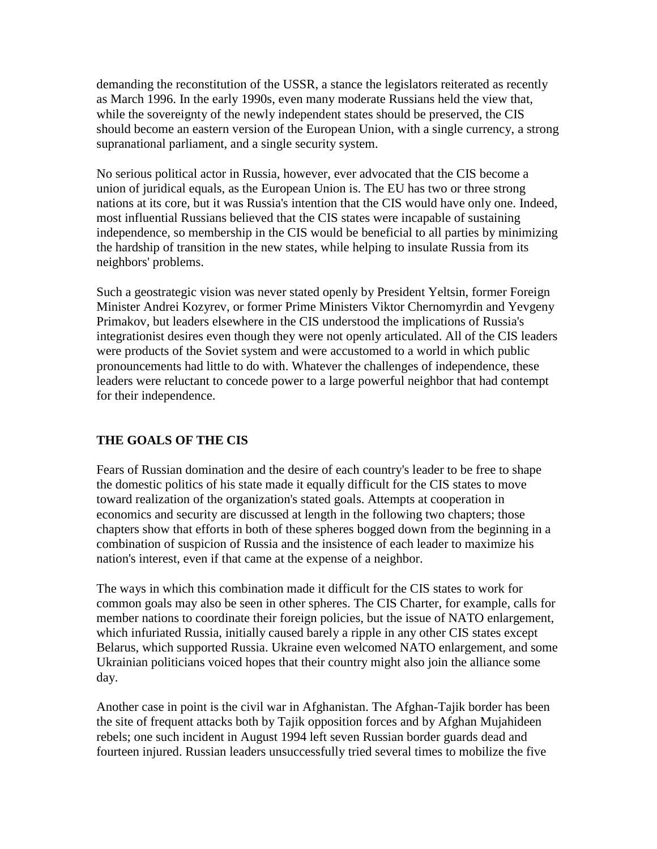demanding the reconstitution of the USSR, a stance the legislators reiterated as recently as March 1996. In the early 1990s, even many moderate Russians held the view that, while the sovereignty of the newly independent states should be preserved, the CIS should become an eastern version of the European Union, with a single currency, a strong supranational parliament, and a single security system.

No serious political actor in Russia, however, ever advocated that the CIS become a union of juridical equals, as the European Union is. The EU has two or three strong nations at its core, but it was Russia's intention that the CIS would have only one. Indeed, most influential Russians believed that the CIS states were incapable of sustaining independence, so membership in the CIS would be beneficial to all parties by minimizing the hardship of transition in the new states, while helping to insulate Russia from its neighbors' problems.

Such a geostrategic vision was never stated openly by President Yeltsin, former Foreign Minister Andrei Kozyrev, or former Prime Ministers Viktor Chernomyrdin and Yevgeny Primakov, but leaders elsewhere in the CIS understood the implications of Russia's integrationist desires even though they were not openly articulated. All of the CIS leaders were products of the Soviet system and were accustomed to a world in which public pronouncements had little to do with. Whatever the challenges of independence, these leaders were reluctant to concede power to a large powerful neighbor that had contempt for their independence.

## **THE GOALS OF THE CIS**

Fears of Russian domination and the desire of each country's leader to be free to shape the domestic politics of his state made it equally difficult for the CIS states to move toward realization of the organization's stated goals. Attempts at cooperation in economics and security are discussed at length in the following two chapters; those chapters show that efforts in both of these spheres bogged down from the beginning in a combination of suspicion of Russia and the insistence of each leader to maximize his nation's interest, even if that came at the expense of a neighbor.

The ways in which this combination made it difficult for the CIS states to work for common goals may also be seen in other spheres. The CIS Charter, for example, calls for member nations to coordinate their foreign policies, but the issue of NATO enlargement, which infuriated Russia, initially caused barely a ripple in any other CIS states except Belarus, which supported Russia. Ukraine even welcomed NATO enlargement, and some Ukrainian politicians voiced hopes that their country might also join the alliance some day.

Another case in point is the civil war in Afghanistan. The Afghan-Tajik border has been the site of frequent attacks both by Tajik opposition forces and by Afghan Mujahideen rebels; one such incident in August 1994 left seven Russian border guards dead and fourteen injured. Russian leaders unsuccessfully tried several times to mobilize the five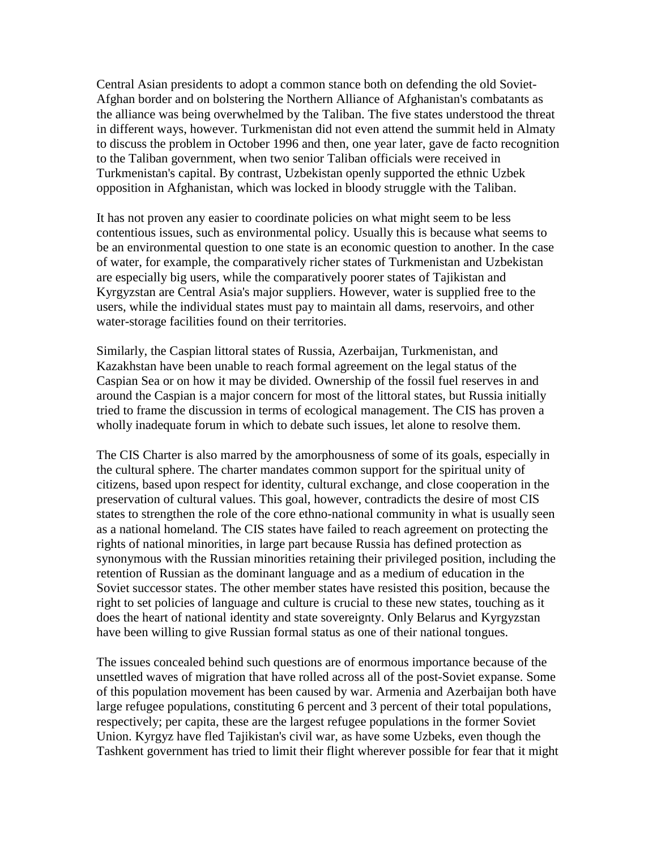Central Asian presidents to adopt a common stance both on defending the old Soviet-Afghan border and on bolstering the Northern Alliance of Afghanistan's combatants as the alliance was being overwhelmed by the Taliban. The five states understood the threat in different ways, however. Turkmenistan did not even attend the summit held in Almaty to discuss the problem in October 1996 and then, one year later, gave de facto recognition to the Taliban government, when two senior Taliban officials were received in Turkmenistan's capital. By contrast, Uzbekistan openly supported the ethnic Uzbek opposition in Afghanistan, which was locked in bloody struggle with the Taliban.

It has not proven any easier to coordinate policies on what might seem to be less contentious issues, such as environmental policy. Usually this is because what seems to be an environmental question to one state is an economic question to another. In the case of water, for example, the comparatively richer states of Turkmenistan and Uzbekistan are especially big users, while the comparatively poorer states of Tajikistan and Kyrgyzstan are Central Asia's major suppliers. However, water is supplied free to the users, while the individual states must pay to maintain all dams, reservoirs, and other water-storage facilities found on their territories.

Similarly, the Caspian littoral states of Russia, Azerbaijan, Turkmenistan, and Kazakhstan have been unable to reach formal agreement on the legal status of the Caspian Sea or on how it may be divided. Ownership of the fossil fuel reserves in and around the Caspian is a major concern for most of the littoral states, but Russia initially tried to frame the discussion in terms of ecological management. The CIS has proven a wholly inadequate forum in which to debate such issues, let alone to resolve them.

The CIS Charter is also marred by the amorphousness of some of its goals, especially in the cultural sphere. The charter mandates common support for the spiritual unity of citizens, based upon respect for identity, cultural exchange, and close cooperation in the preservation of cultural values. This goal, however, contradicts the desire of most CIS states to strengthen the role of the core ethno-national community in what is usually seen as a national homeland. The CIS states have failed to reach agreement on protecting the rights of national minorities, in large part because Russia has defined protection as synonymous with the Russian minorities retaining their privileged position, including the retention of Russian as the dominant language and as a medium of education in the Soviet successor states. The other member states have resisted this position, because the right to set policies of language and culture is crucial to these new states, touching as it does the heart of national identity and state sovereignty. Only Belarus and Kyrgyzstan have been willing to give Russian formal status as one of their national tongues.

The issues concealed behind such questions are of enormous importance because of the unsettled waves of migration that have rolled across all of the post-Soviet expanse. Some of this population movement has been caused by war. Armenia and Azerbaijan both have large refugee populations, constituting 6 percent and 3 percent of their total populations, respectively; per capita, these are the largest refugee populations in the former Soviet Union. Kyrgyz have fled Tajikistan's civil war, as have some Uzbeks, even though the Tashkent government has tried to limit their flight wherever possible for fear that it might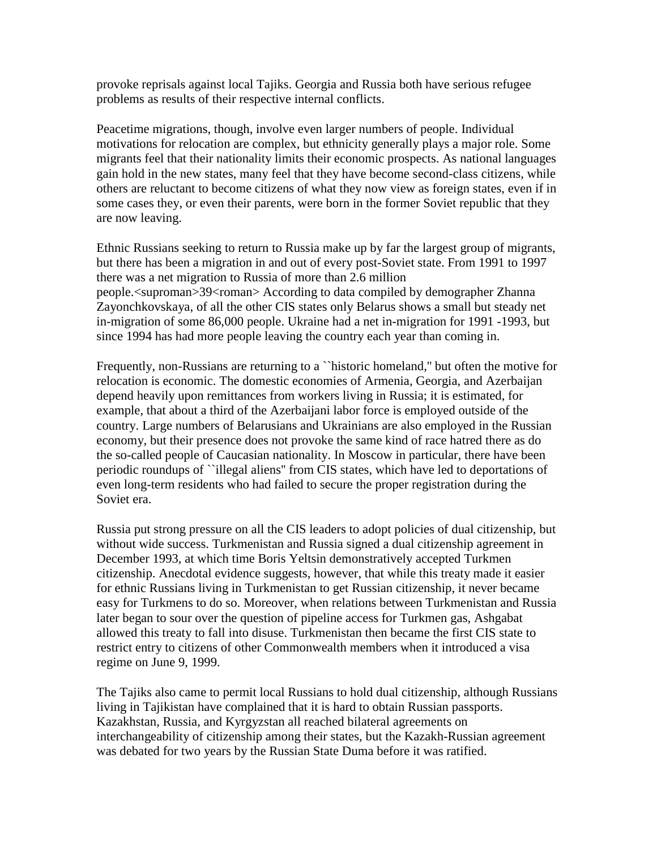provoke reprisals against local Tajiks. Georgia and Russia both have serious refugee problems as results of their respective internal conflicts.

Peacetime migrations, though, involve even larger numbers of people. Individual motivations for relocation are complex, but ethnicity generally plays a major role. Some migrants feel that their nationality limits their economic prospects. As national languages gain hold in the new states, many feel that they have become second-class citizens, while others are reluctant to become citizens of what they now view as foreign states, even if in some cases they, or even their parents, were born in the former Soviet republic that they are now leaving.

Ethnic Russians seeking to return to Russia make up by far the largest group of migrants, but there has been a migration in and out of every post-Soviet state. From 1991 to 1997 there was a net migration to Russia of more than 2.6 million people.<suproman>39<roman> According to data compiled by demographer Zhanna Zayonchkovskaya, of all the other CIS states only Belarus shows a small but steady net in-migration of some 86,000 people. Ukraine had a net in-migration for 1991 -1993, but since 1994 has had more people leaving the country each year than coming in.

Frequently, non-Russians are returning to a "historic homeland," but often the motive for relocation is economic. The domestic economies of Armenia, Georgia, and Azerbaijan depend heavily upon remittances from workers living in Russia; it is estimated, for example, that about a third of the Azerbaijani labor force is employed outside of the country. Large numbers of Belarusians and Ukrainians are also employed in the Russian economy, but their presence does not provoke the same kind of race hatred there as do the so-called people of Caucasian nationality. In Moscow in particular, there have been periodic roundups of ``illegal aliens'' from CIS states, which have led to deportations of even long-term residents who had failed to secure the proper registration during the Soviet era.

Russia put strong pressure on all the CIS leaders to adopt policies of dual citizenship, but without wide success. Turkmenistan and Russia signed a dual citizenship agreement in December 1993, at which time Boris Yeltsin demonstratively accepted Turkmen citizenship. Anecdotal evidence suggests, however, that while this treaty made it easier for ethnic Russians living in Turkmenistan to get Russian citizenship, it never became easy for Turkmens to do so. Moreover, when relations between Turkmenistan and Russia later began to sour over the question of pipeline access for Turkmen gas, Ashgabat allowed this treaty to fall into disuse. Turkmenistan then became the first CIS state to restrict entry to citizens of other Commonwealth members when it introduced a visa regime on June 9, 1999.

The Tajiks also came to permit local Russians to hold dual citizenship, although Russians living in Tajikistan have complained that it is hard to obtain Russian passports. Kazakhstan, Russia, and Kyrgyzstan all reached bilateral agreements on interchangeability of citizenship among their states, but the Kazakh-Russian agreement was debated for two years by the Russian State Duma before it was ratified.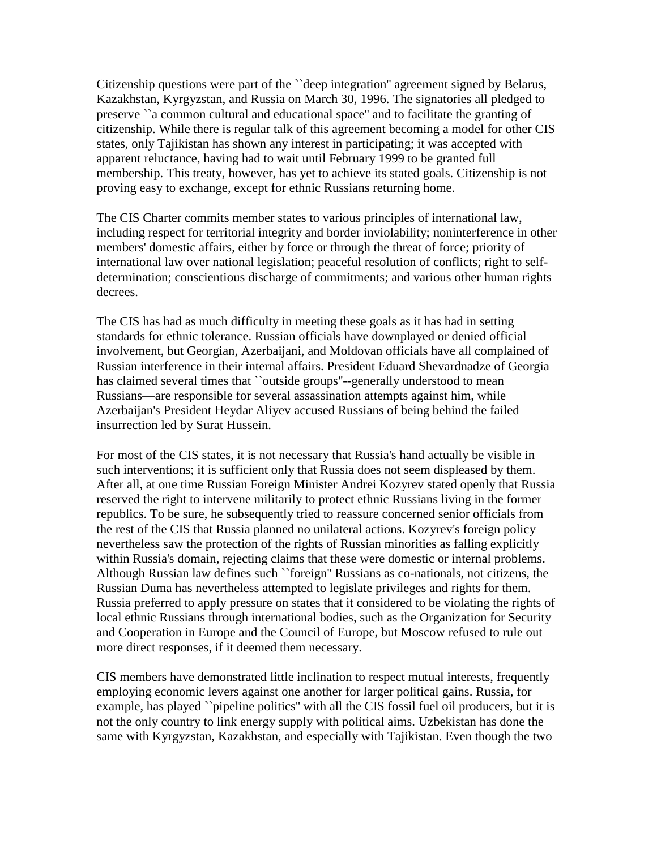Citizenship questions were part of the ``deep integration'' agreement signed by Belarus, Kazakhstan, Kyrgyzstan, and Russia on March 30, 1996. The signatories all pledged to preserve ``a common cultural and educational space'' and to facilitate the granting of citizenship. While there is regular talk of this agreement becoming a model for other CIS states, only Tajikistan has shown any interest in participating; it was accepted with apparent reluctance, having had to wait until February 1999 to be granted full membership. This treaty, however, has yet to achieve its stated goals. Citizenship is not proving easy to exchange, except for ethnic Russians returning home.

The CIS Charter commits member states to various principles of international law, including respect for territorial integrity and border inviolability; noninterference in other members' domestic affairs, either by force or through the threat of force; priority of international law over national legislation; peaceful resolution of conflicts; right to selfdetermination; conscientious discharge of commitments; and various other human rights decrees.

The CIS has had as much difficulty in meeting these goals as it has had in setting standards for ethnic tolerance. Russian officials have downplayed or denied official involvement, but Georgian, Azerbaijani, and Moldovan officials have all complained of Russian interference in their internal affairs. President Eduard Shevardnadze of Georgia has claimed several times that ``outside groups''--generally understood to mean Russians—are responsible for several assassination attempts against him, while Azerbaijan's President Heydar Aliyev accused Russians of being behind the failed insurrection led by Surat Hussein.

For most of the CIS states, it is not necessary that Russia's hand actually be visible in such interventions; it is sufficient only that Russia does not seem displeased by them. After all, at one time Russian Foreign Minister Andrei Kozyrev stated openly that Russia reserved the right to intervene militarily to protect ethnic Russians living in the former republics. To be sure, he subsequently tried to reassure concerned senior officials from the rest of the CIS that Russia planned no unilateral actions. Kozyrev's foreign policy nevertheless saw the protection of the rights of Russian minorities as falling explicitly within Russia's domain, rejecting claims that these were domestic or internal problems. Although Russian law defines such ``foreign'' Russians as co-nationals, not citizens, the Russian Duma has nevertheless attempted to legislate privileges and rights for them. Russia preferred to apply pressure on states that it considered to be violating the rights of local ethnic Russians through international bodies, such as the Organization for Security and Cooperation in Europe and the Council of Europe, but Moscow refused to rule out more direct responses, if it deemed them necessary.

CIS members have demonstrated little inclination to respect mutual interests, frequently employing economic levers against one another for larger political gains. Russia, for example, has played "pipeline politics" with all the CIS fossil fuel oil producers, but it is not the only country to link energy supply with political aims. Uzbekistan has done the same with Kyrgyzstan, Kazakhstan, and especially with Tajikistan. Even though the two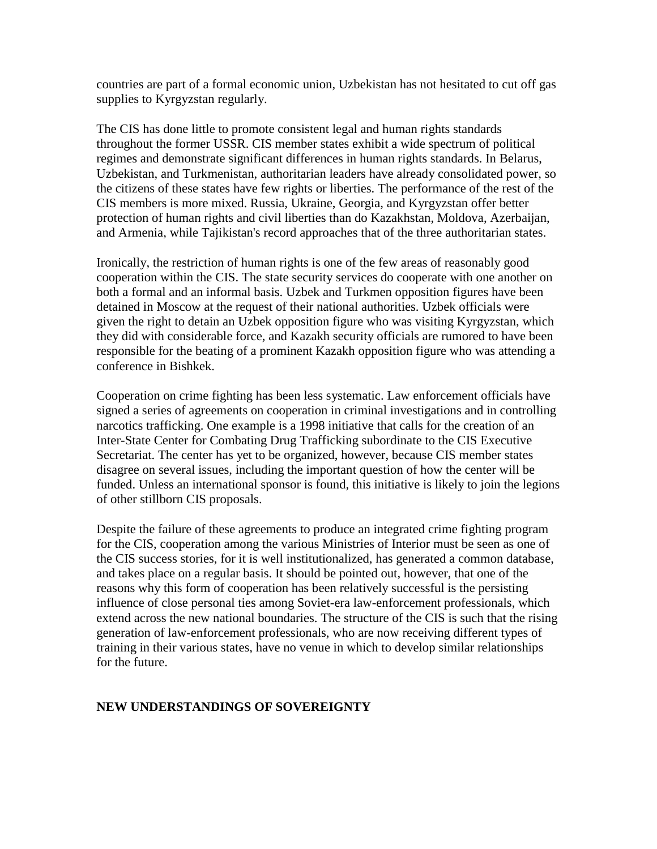countries are part of a formal economic union, Uzbekistan has not hesitated to cut off gas supplies to Kyrgyzstan regularly.

The CIS has done little to promote consistent legal and human rights standards throughout the former USSR. CIS member states exhibit a wide spectrum of political regimes and demonstrate significant differences in human rights standards. In Belarus, Uzbekistan, and Turkmenistan, authoritarian leaders have already consolidated power, so the citizens of these states have few rights or liberties. The performance of the rest of the CIS members is more mixed. Russia, Ukraine, Georgia, and Kyrgyzstan offer better protection of human rights and civil liberties than do Kazakhstan, Moldova, Azerbaijan, and Armenia, while Tajikistan's record approaches that of the three authoritarian states.

Ironically, the restriction of human rights is one of the few areas of reasonably good cooperation within the CIS. The state security services do cooperate with one another on both a formal and an informal basis. Uzbek and Turkmen opposition figures have been detained in Moscow at the request of their national authorities. Uzbek officials were given the right to detain an Uzbek opposition figure who was visiting Kyrgyzstan, which they did with considerable force, and Kazakh security officials are rumored to have been responsible for the beating of a prominent Kazakh opposition figure who was attending a conference in Bishkek.

Cooperation on crime fighting has been less systematic. Law enforcement officials have signed a series of agreements on cooperation in criminal investigations and in controlling narcotics trafficking. One example is a 1998 initiative that calls for the creation of an Inter-State Center for Combating Drug Trafficking subordinate to the CIS Executive Secretariat. The center has yet to be organized, however, because CIS member states disagree on several issues, including the important question of how the center will be funded. Unless an international sponsor is found, this initiative is likely to join the legions of other stillborn CIS proposals.

Despite the failure of these agreements to produce an integrated crime fighting program for the CIS, cooperation among the various Ministries of Interior must be seen as one of the CIS success stories, for it is well institutionalized, has generated a common database, and takes place on a regular basis. It should be pointed out, however, that one of the reasons why this form of cooperation has been relatively successful is the persisting influence of close personal ties among Soviet-era law-enforcement professionals, which extend across the new national boundaries. The structure of the CIS is such that the rising generation of law-enforcement professionals, who are now receiving different types of training in their various states, have no venue in which to develop similar relationships for the future.

#### **NEW UNDERSTANDINGS OF SOVEREIGNTY**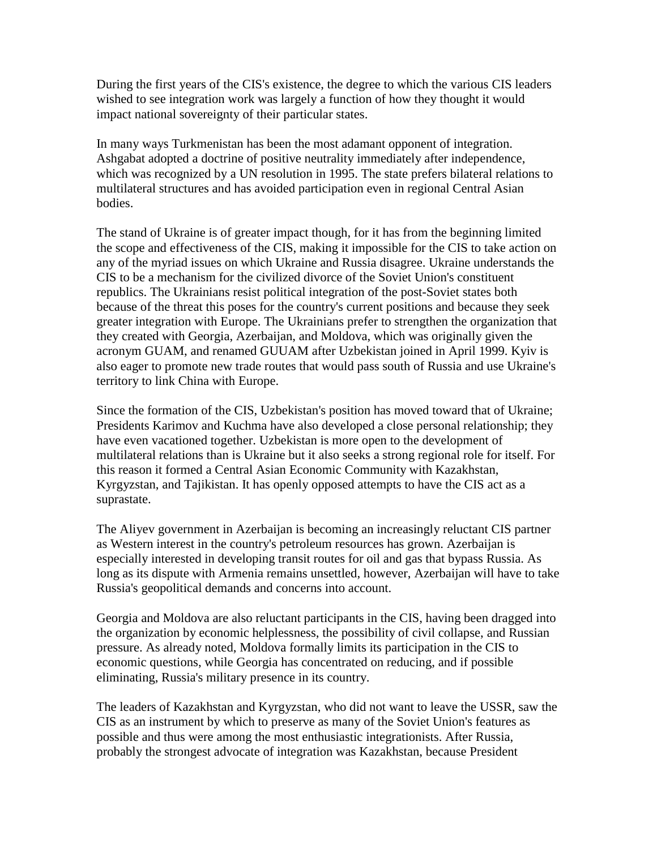During the first years of the CIS's existence, the degree to which the various CIS leaders wished to see integration work was largely a function of how they thought it would impact national sovereignty of their particular states.

In many ways Turkmenistan has been the most adamant opponent of integration. Ashgabat adopted a doctrine of positive neutrality immediately after independence, which was recognized by a UN resolution in 1995. The state prefers bilateral relations to multilateral structures and has avoided participation even in regional Central Asian bodies.

The stand of Ukraine is of greater impact though, for it has from the beginning limited the scope and effectiveness of the CIS, making it impossible for the CIS to take action on any of the myriad issues on which Ukraine and Russia disagree. Ukraine understands the CIS to be a mechanism for the civilized divorce of the Soviet Union's constituent republics. The Ukrainians resist political integration of the post-Soviet states both because of the threat this poses for the country's current positions and because they seek greater integration with Europe. The Ukrainians prefer to strengthen the organization that they created with Georgia, Azerbaijan, and Moldova, which was originally given the acronym GUAM, and renamed GUUAM after Uzbekistan joined in April 1999. Kyiv is also eager to promote new trade routes that would pass south of Russia and use Ukraine's territory to link China with Europe.

Since the formation of the CIS, Uzbekistan's position has moved toward that of Ukraine; Presidents Karimov and Kuchma have also developed a close personal relationship; they have even vacationed together. Uzbekistan is more open to the development of multilateral relations than is Ukraine but it also seeks a strong regional role for itself. For this reason it formed a Central Asian Economic Community with Kazakhstan, Kyrgyzstan, and Tajikistan. It has openly opposed attempts to have the CIS act as a suprastate.

The Aliyev government in Azerbaijan is becoming an increasingly reluctant CIS partner as Western interest in the country's petroleum resources has grown. Azerbaijan is especially interested in developing transit routes for oil and gas that bypass Russia. As long as its dispute with Armenia remains unsettled, however, Azerbaijan will have to take Russia's geopolitical demands and concerns into account.

Georgia and Moldova are also reluctant participants in the CIS, having been dragged into the organization by economic helplessness, the possibility of civil collapse, and Russian pressure. As already noted, Moldova formally limits its participation in the CIS to economic questions, while Georgia has concentrated on reducing, and if possible eliminating, Russia's military presence in its country.

The leaders of Kazakhstan and Kyrgyzstan, who did not want to leave the USSR, saw the CIS as an instrument by which to preserve as many of the Soviet Union's features as possible and thus were among the most enthusiastic integrationists. After Russia, probably the strongest advocate of integration was Kazakhstan, because President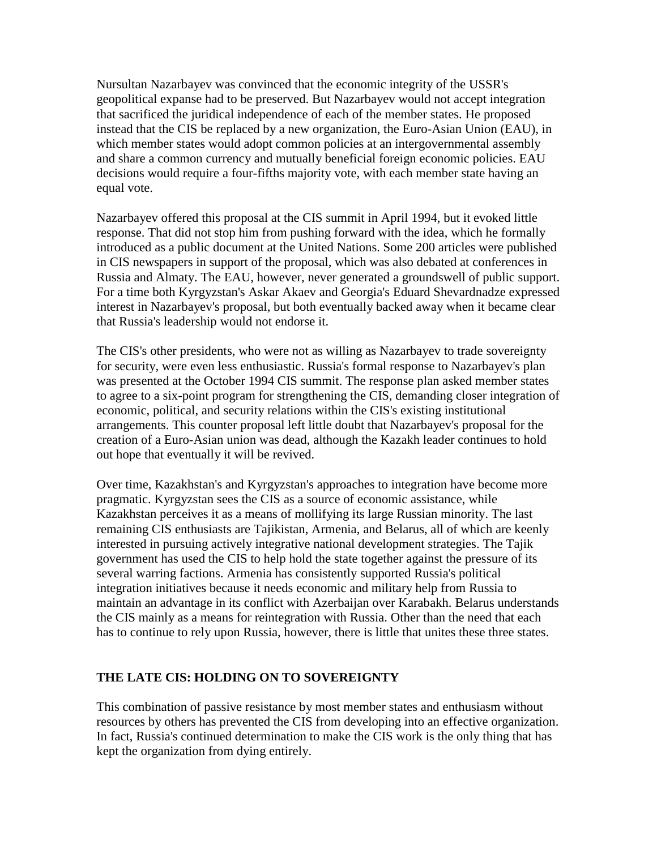Nursultan Nazarbayev was convinced that the economic integrity of the USSR's geopolitical expanse had to be preserved. But Nazarbayev would not accept integration that sacrificed the juridical independence of each of the member states. He proposed instead that the CIS be replaced by a new organization, the Euro-Asian Union (EAU), in which member states would adopt common policies at an intergovernmental assembly and share a common currency and mutually beneficial foreign economic policies. EAU decisions would require a four-fifths majority vote, with each member state having an equal vote.

Nazarbayev offered this proposal at the CIS summit in April 1994, but it evoked little response. That did not stop him from pushing forward with the idea, which he formally introduced as a public document at the United Nations. Some 200 articles were published in CIS newspapers in support of the proposal, which was also debated at conferences in Russia and Almaty. The EAU, however, never generated a groundswell of public support. For a time both Kyrgyzstan's Askar Akaev and Georgia's Eduard Shevardnadze expressed interest in Nazarbayev's proposal, but both eventually backed away when it became clear that Russia's leadership would not endorse it.

The CIS's other presidents, who were not as willing as Nazarbayev to trade sovereignty for security, were even less enthusiastic. Russia's formal response to Nazarbayev's plan was presented at the October 1994 CIS summit. The response plan asked member states to agree to a six-point program for strengthening the CIS, demanding closer integration of economic, political, and security relations within the CIS's existing institutional arrangements. This counter proposal left little doubt that Nazarbayev's proposal for the creation of a Euro-Asian union was dead, although the Kazakh leader continues to hold out hope that eventually it will be revived.

Over time, Kazakhstan's and Kyrgyzstan's approaches to integration have become more pragmatic. Kyrgyzstan sees the CIS as a source of economic assistance, while Kazakhstan perceives it as a means of mollifying its large Russian minority. The last remaining CIS enthusiasts are Tajikistan, Armenia, and Belarus, all of which are keenly interested in pursuing actively integrative national development strategies. The Tajik government has used the CIS to help hold the state together against the pressure of its several warring factions. Armenia has consistently supported Russia's political integration initiatives because it needs economic and military help from Russia to maintain an advantage in its conflict with Azerbaijan over Karabakh. Belarus understands the CIS mainly as a means for reintegration with Russia. Other than the need that each has to continue to rely upon Russia, however, there is little that unites these three states.

## **THE LATE CIS: HOLDING ON TO SOVEREIGNTY**

This combination of passive resistance by most member states and enthusiasm without resources by others has prevented the CIS from developing into an effective organization. In fact, Russia's continued determination to make the CIS work is the only thing that has kept the organization from dying entirely.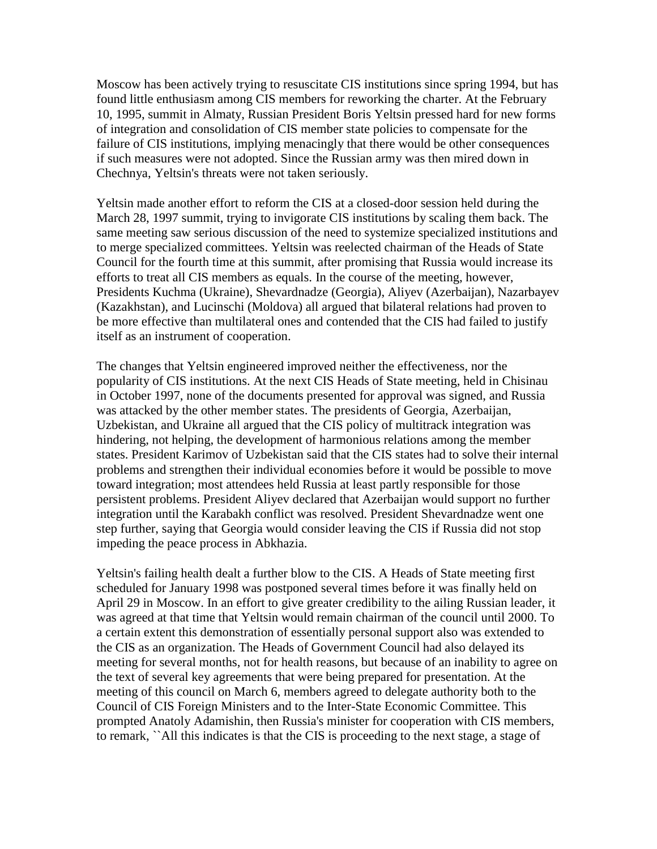Moscow has been actively trying to resuscitate CIS institutions since spring 1994, but has found little enthusiasm among CIS members for reworking the charter. At the February 10, 1995, summit in Almaty, Russian President Boris Yeltsin pressed hard for new forms of integration and consolidation of CIS member state policies to compensate for the failure of CIS institutions, implying menacingly that there would be other consequences if such measures were not adopted. Since the Russian army was then mired down in Chechnya, Yeltsin's threats were not taken seriously.

Yeltsin made another effort to reform the CIS at a closed-door session held during the March 28, 1997 summit, trying to invigorate CIS institutions by scaling them back. The same meeting saw serious discussion of the need to systemize specialized institutions and to merge specialized committees. Yeltsin was reelected chairman of the Heads of State Council for the fourth time at this summit, after promising that Russia would increase its efforts to treat all CIS members as equals. In the course of the meeting, however, Presidents Kuchma (Ukraine), Shevardnadze (Georgia), Aliyev (Azerbaijan), Nazarbayev (Kazakhstan), and Lucinschi (Moldova) all argued that bilateral relations had proven to be more effective than multilateral ones and contended that the CIS had failed to justify itself as an instrument of cooperation.

The changes that Yeltsin engineered improved neither the effectiveness, nor the popularity of CIS institutions. At the next CIS Heads of State meeting, held in Chisinau in October 1997, none of the documents presented for approval was signed, and Russia was attacked by the other member states. The presidents of Georgia, Azerbaijan, Uzbekistan, and Ukraine all argued that the CIS policy of multitrack integration was hindering, not helping, the development of harmonious relations among the member states. President Karimov of Uzbekistan said that the CIS states had to solve their internal problems and strengthen their individual economies before it would be possible to move toward integration; most attendees held Russia at least partly responsible for those persistent problems. President Aliyev declared that Azerbaijan would support no further integration until the Karabakh conflict was resolved. President Shevardnadze went one step further, saying that Georgia would consider leaving the CIS if Russia did not stop impeding the peace process in Abkhazia.

Yeltsin's failing health dealt a further blow to the CIS. A Heads of State meeting first scheduled for January 1998 was postponed several times before it was finally held on April 29 in Moscow. In an effort to give greater credibility to the ailing Russian leader, it was agreed at that time that Yeltsin would remain chairman of the council until 2000. To a certain extent this demonstration of essentially personal support also was extended to the CIS as an organization. The Heads of Government Council had also delayed its meeting for several months, not for health reasons, but because of an inability to agree on the text of several key agreements that were being prepared for presentation. At the meeting of this council on March 6, members agreed to delegate authority both to the Council of CIS Foreign Ministers and to the Inter-State Economic Committee. This prompted Anatoly Adamishin, then Russia's minister for cooperation with CIS members, to remark, ``All this indicates is that the CIS is proceeding to the next stage, a stage of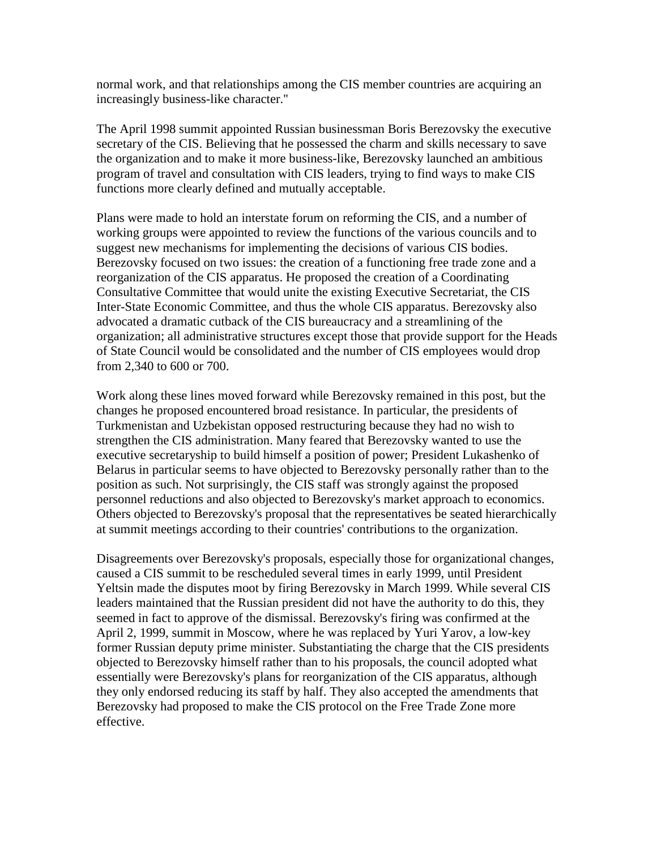normal work, and that relationships among the CIS member countries are acquiring an increasingly business-like character.''

The April 1998 summit appointed Russian businessman Boris Berezovsky the executive secretary of the CIS. Believing that he possessed the charm and skills necessary to save the organization and to make it more business-like, Berezovsky launched an ambitious program of travel and consultation with CIS leaders, trying to find ways to make CIS functions more clearly defined and mutually acceptable.

Plans were made to hold an interstate forum on reforming the CIS, and a number of working groups were appointed to review the functions of the various councils and to suggest new mechanisms for implementing the decisions of various CIS bodies. Berezovsky focused on two issues: the creation of a functioning free trade zone and a reorganization of the CIS apparatus. He proposed the creation of a Coordinating Consultative Committee that would unite the existing Executive Secretariat, the CIS Inter-State Economic Committee, and thus the whole CIS apparatus. Berezovsky also advocated a dramatic cutback of the CIS bureaucracy and a streamlining of the organization; all administrative structures except those that provide support for the Heads of State Council would be consolidated and the number of CIS employees would drop from 2,340 to 600 or 700.

Work along these lines moved forward while Berezovsky remained in this post, but the changes he proposed encountered broad resistance. In particular, the presidents of Turkmenistan and Uzbekistan opposed restructuring because they had no wish to strengthen the CIS administration. Many feared that Berezovsky wanted to use the executive secretaryship to build himself a position of power; President Lukashenko of Belarus in particular seems to have objected to Berezovsky personally rather than to the position as such. Not surprisingly, the CIS staff was strongly against the proposed personnel reductions and also objected to Berezovsky's market approach to economics. Others objected to Berezovsky's proposal that the representatives be seated hierarchically at summit meetings according to their countries' contributions to the organization.

Disagreements over Berezovsky's proposals, especially those for organizational changes, caused a CIS summit to be rescheduled several times in early 1999, until President Yeltsin made the disputes moot by firing Berezovsky in March 1999. While several CIS leaders maintained that the Russian president did not have the authority to do this, they seemed in fact to approve of the dismissal. Berezovsky's firing was confirmed at the April 2, 1999, summit in Moscow, where he was replaced by Yuri Yarov, a low-key former Russian deputy prime minister. Substantiating the charge that the CIS presidents objected to Berezovsky himself rather than to his proposals, the council adopted what essentially were Berezovsky's plans for reorganization of the CIS apparatus, although they only endorsed reducing its staff by half. They also accepted the amendments that Berezovsky had proposed to make the CIS protocol on the Free Trade Zone more effective.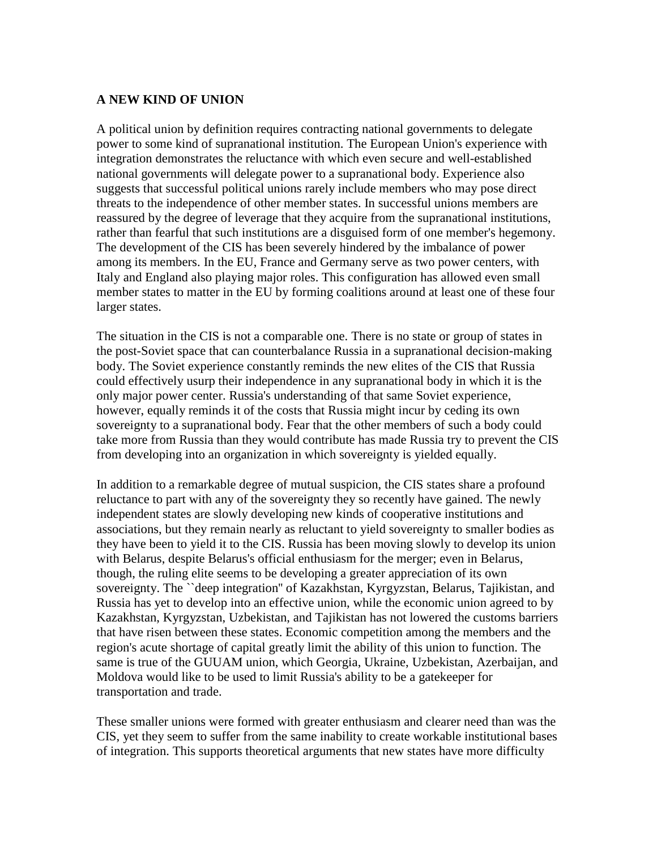## **A NEW KIND OF UNION**

A political union by definition requires contracting national governments to delegate power to some kind of supranational institution. The European Union's experience with integration demonstrates the reluctance with which even secure and well-established national governments will delegate power to a supranational body. Experience also suggests that successful political unions rarely include members who may pose direct threats to the independence of other member states. In successful unions members are reassured by the degree of leverage that they acquire from the supranational institutions, rather than fearful that such institutions are a disguised form of one member's hegemony. The development of the CIS has been severely hindered by the imbalance of power among its members. In the EU, France and Germany serve as two power centers, with Italy and England also playing major roles. This configuration has allowed even small member states to matter in the EU by forming coalitions around at least one of these four larger states.

The situation in the CIS is not a comparable one. There is no state or group of states in the post-Soviet space that can counterbalance Russia in a supranational decision-making body. The Soviet experience constantly reminds the new elites of the CIS that Russia could effectively usurp their independence in any supranational body in which it is the only major power center. Russia's understanding of that same Soviet experience, however, equally reminds it of the costs that Russia might incur by ceding its own sovereignty to a supranational body. Fear that the other members of such a body could take more from Russia than they would contribute has made Russia try to prevent the CIS from developing into an organization in which sovereignty is yielded equally.

In addition to a remarkable degree of mutual suspicion, the CIS states share a profound reluctance to part with any of the sovereignty they so recently have gained. The newly independent states are slowly developing new kinds of cooperative institutions and associations, but they remain nearly as reluctant to yield sovereignty to smaller bodies as they have been to yield it to the CIS. Russia has been moving slowly to develop its union with Belarus, despite Belarus's official enthusiasm for the merger; even in Belarus, though, the ruling elite seems to be developing a greater appreciation of its own sovereignty. The ``deep integration'' of Kazakhstan, Kyrgyzstan, Belarus, Tajikistan, and Russia has yet to develop into an effective union, while the economic union agreed to by Kazakhstan, Kyrgyzstan, Uzbekistan, and Tajikistan has not lowered the customs barriers that have risen between these states. Economic competition among the members and the region's acute shortage of capital greatly limit the ability of this union to function. The same is true of the GUUAM union, which Georgia, Ukraine, Uzbekistan, Azerbaijan, and Moldova would like to be used to limit Russia's ability to be a gatekeeper for transportation and trade.

These smaller unions were formed with greater enthusiasm and clearer need than was the CIS, yet they seem to suffer from the same inability to create workable institutional bases of integration. This supports theoretical arguments that new states have more difficulty